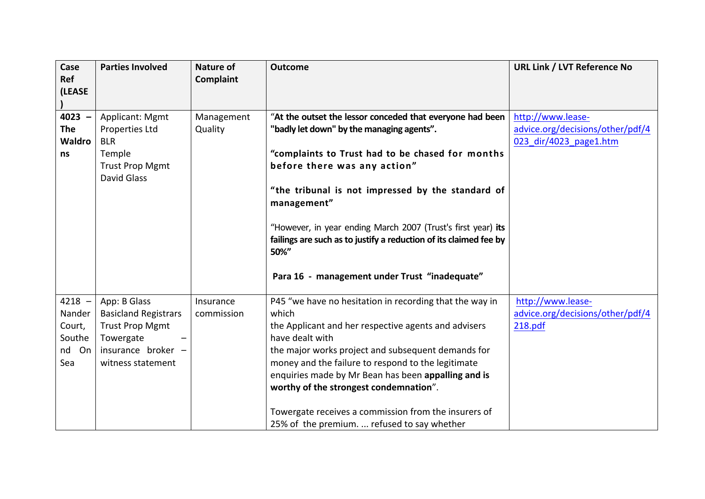| Case<br>Ref<br>(LEASE                                     | <b>Parties Involved</b>                                                                                                       | <b>Nature of</b><br>Complaint | <b>Outcome</b>                                                                                                                                                                                                                                                                                                                                                                                                                                                  | <b>URL Link / LVT Reference No</b>                                              |
|-----------------------------------------------------------|-------------------------------------------------------------------------------------------------------------------------------|-------------------------------|-----------------------------------------------------------------------------------------------------------------------------------------------------------------------------------------------------------------------------------------------------------------------------------------------------------------------------------------------------------------------------------------------------------------------------------------------------------------|---------------------------------------------------------------------------------|
| $4023 -$<br><b>The</b><br><b>Waldro</b><br>ns             | <b>Applicant: Mgmt</b><br>Properties Ltd<br><b>BLR</b><br>Temple<br><b>Trust Prop Mgmt</b><br>David Glass                     | Management<br>Quality         | "At the outset the lessor conceded that everyone had been<br>"badly let down" by the managing agents".<br>"complaints to Trust had to be chased for months<br>before there was any action"<br>"the tribunal is not impressed by the standard of<br>management"<br>"However, in year ending March 2007 (Trust's first year) its<br>failings are such as to justify a reduction of its claimed fee by<br>50%"<br>Para 16 - management under Trust "inadequate"    | http://www.lease-<br>advice.org/decisions/other/pdf/4<br>023 dir/4023 page1.htm |
| $4218 -$<br>Nander<br>Court,<br>Southe<br>On<br>nd<br>Sea | App: B Glass<br><b>Basicland Registrars</b><br><b>Trust Prop Mgmt</b><br>Towergate<br>insurance broker -<br>witness statement | Insurance<br>commission       | P45 "we have no hesitation in recording that the way in<br>which<br>the Applicant and her respective agents and advisers<br>have dealt with<br>the major works project and subsequent demands for<br>money and the failure to respond to the legitimate<br>enquiries made by Mr Bean has been appalling and is<br>worthy of the strongest condemnation".<br>Towergate receives a commission from the insurers of<br>25% of the premium.  refused to say whether | http://www.lease-<br>advice.org/decisions/other/pdf/4<br>218.pdf                |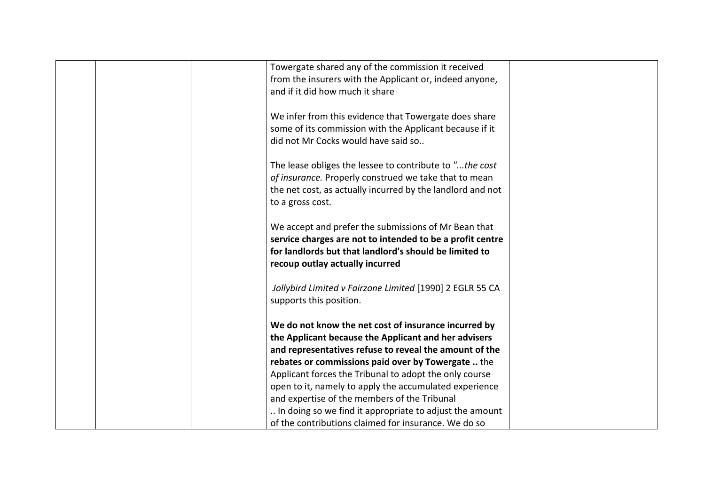|  | Towergate shared any of the commission it received         |  |
|--|------------------------------------------------------------|--|
|  | from the insurers with the Applicant or, indeed anyone,    |  |
|  | and if it did how much it share                            |  |
|  |                                                            |  |
|  | We infer from this evidence that Towergate does share      |  |
|  | some of its commission with the Applicant because if it    |  |
|  | did not Mr Cocks would have said so                        |  |
|  |                                                            |  |
|  | The lease obliges the lessee to contribute to "the cost    |  |
|  | of insurance. Properly construed we take that to mean      |  |
|  |                                                            |  |
|  | the net cost, as actually incurred by the landlord and not |  |
|  | to a gross cost.                                           |  |
|  |                                                            |  |
|  | We accept and prefer the submissions of Mr Bean that       |  |
|  | service charges are not to intended to be a profit centre  |  |
|  | for landlords but that landlord's should be limited to     |  |
|  | recoup outlay actually incurred                            |  |
|  |                                                            |  |
|  | Jollybird Limited v Fairzone Limited [1990] 2 EGLR 55 CA   |  |
|  | supports this position.                                    |  |
|  |                                                            |  |
|  | We do not know the net cost of insurance incurred by       |  |
|  | the Applicant because the Applicant and her advisers       |  |
|  | and representatives refuse to reveal the amount of the     |  |
|  | rebates or commissions paid over by Towergate  the         |  |
|  | Applicant forces the Tribunal to adopt the only course     |  |
|  | open to it, namely to apply the accumulated experience     |  |
|  | and expertise of the members of the Tribunal               |  |
|  | In doing so we find it appropriate to adjust the amount    |  |
|  | of the contributions claimed for insurance. We do so       |  |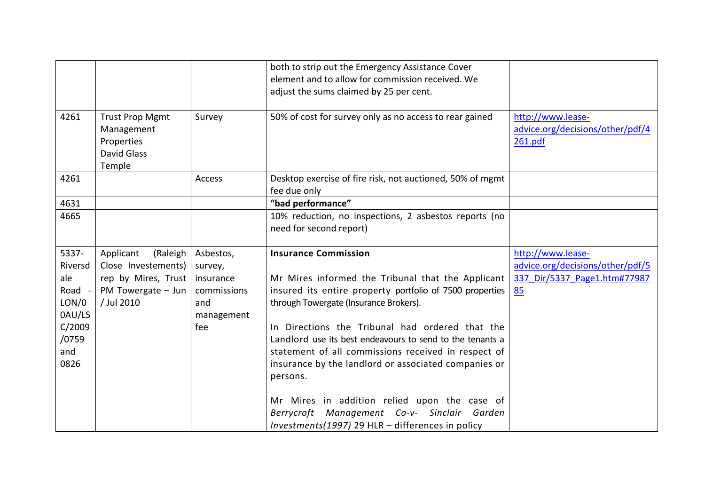|                                                                                        |                                                                                                         |                                                                              | both to strip out the Emergency Assistance Cover<br>element and to allow for commission received. We<br>adjust the sums claimed by 25 per cent.                                                                                                                                                                                                                                                                                                                                   |                                                                                             |
|----------------------------------------------------------------------------------------|---------------------------------------------------------------------------------------------------------|------------------------------------------------------------------------------|-----------------------------------------------------------------------------------------------------------------------------------------------------------------------------------------------------------------------------------------------------------------------------------------------------------------------------------------------------------------------------------------------------------------------------------------------------------------------------------|---------------------------------------------------------------------------------------------|
| 4261                                                                                   | <b>Trust Prop Mgmt</b><br>Management<br>Properties<br><b>David Glass</b><br>Temple                      | Survey                                                                       | 50% of cost for survey only as no access to rear gained                                                                                                                                                                                                                                                                                                                                                                                                                           | http://www.lease-<br>advice.org/decisions/other/pdf/4<br>261.pdf                            |
| 4261                                                                                   |                                                                                                         | Access                                                                       | Desktop exercise of fire risk, not auctioned, 50% of mgmt<br>fee due only                                                                                                                                                                                                                                                                                                                                                                                                         |                                                                                             |
| 4631                                                                                   |                                                                                                         |                                                                              | "bad performance"                                                                                                                                                                                                                                                                                                                                                                                                                                                                 |                                                                                             |
| 4665                                                                                   |                                                                                                         |                                                                              | 10% reduction, no inspections, 2 asbestos reports (no<br>need for second report)                                                                                                                                                                                                                                                                                                                                                                                                  |                                                                                             |
| 5337-<br>Riversd<br>ale<br>Road -<br>LON/0<br>0AU/LS<br>C/2009<br>/0759<br>and<br>0826 | Applicant<br>(Raleigh<br>Close Investements)<br>rep by Mires, Trust<br>PM Towergate - Jun<br>/ Jul 2010 | Asbestos,<br>survey,<br>insurance<br>commissions<br>and<br>management<br>fee | <b>Insurance Commission</b><br>Mr Mires informed the Tribunal that the Applicant<br>insured its entire property portfolio of 7500 properties<br>through Towergate (Insurance Brokers).<br>In Directions the Tribunal had ordered that the<br>Landlord use its best endeavours to send to the tenants a<br>statement of all commissions received in respect of<br>insurance by the landlord or associated companies or<br>persons.<br>Mr Mires in addition relied upon the case of | http://www.lease-<br>advice.org/decisions/other/pdf/5<br>337 Dir/5337 Page1.htm#77987<br>85 |
|                                                                                        |                                                                                                         |                                                                              | Berrycroft Management Co-v- Sinclair Garden<br>Investments(1997) 29 HLR - differences in policy                                                                                                                                                                                                                                                                                                                                                                                   |                                                                                             |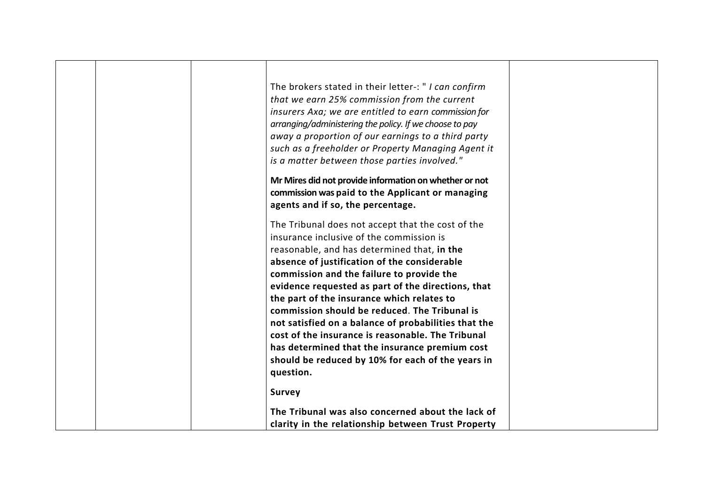|  | The brokers stated in their letter-: " I can confirm<br>that we earn 25% commission from the current<br>insurers Axa; we are entitled to earn commission for<br>arranging/administering the policy. If we choose to pay<br>away a proportion of our earnings to a third party<br>such as a freeholder or Property Managing Agent it<br>is a matter between those parties involved."<br>Mr Mires did not provide information on whether or not<br>commission was paid to the Applicant or managing<br>agents and if so, the percentage.                                                                                          |  |
|--|---------------------------------------------------------------------------------------------------------------------------------------------------------------------------------------------------------------------------------------------------------------------------------------------------------------------------------------------------------------------------------------------------------------------------------------------------------------------------------------------------------------------------------------------------------------------------------------------------------------------------------|--|
|  | The Tribunal does not accept that the cost of the<br>insurance inclusive of the commission is<br>reasonable, and has determined that, in the<br>absence of justification of the considerable<br>commission and the failure to provide the<br>evidence requested as part of the directions, that<br>the part of the insurance which relates to<br>commission should be reduced. The Tribunal is<br>not satisfied on a balance of probabilities that the<br>cost of the insurance is reasonable. The Tribunal<br>has determined that the insurance premium cost<br>should be reduced by 10% for each of the years in<br>question. |  |
|  | <b>Survey</b>                                                                                                                                                                                                                                                                                                                                                                                                                                                                                                                                                                                                                   |  |
|  | The Tribunal was also concerned about the lack of                                                                                                                                                                                                                                                                                                                                                                                                                                                                                                                                                                               |  |
|  | clarity in the relationship between Trust Property                                                                                                                                                                                                                                                                                                                                                                                                                                                                                                                                                                              |  |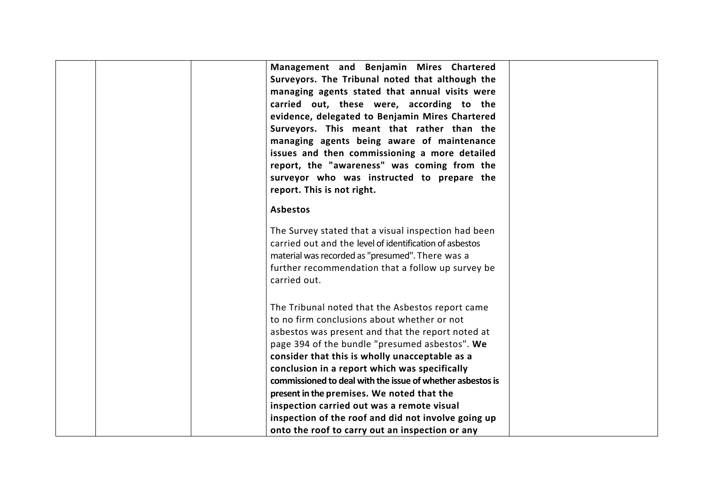| Management and Benjamin Mires Chartered<br>Surveyors. The Tribunal noted that although the<br>managing agents stated that annual visits were<br>carried out, these were, according to the<br>evidence, delegated to Benjamin Mires Chartered<br>Surveyors. This meant that rather than the<br>managing agents being aware of maintenance<br>issues and then commissioning a more detailed<br>report, the "awareness" was coming from the<br>surveyor who was instructed to prepare the<br>report. This is not right.       |  |
|----------------------------------------------------------------------------------------------------------------------------------------------------------------------------------------------------------------------------------------------------------------------------------------------------------------------------------------------------------------------------------------------------------------------------------------------------------------------------------------------------------------------------|--|
| <b>Asbestos</b><br>The Survey stated that a visual inspection had been<br>carried out and the level of identification of asbestos<br>material was recorded as "presumed". There was a<br>further recommendation that a follow up survey be<br>carried out.                                                                                                                                                                                                                                                                 |  |
| The Tribunal noted that the Asbestos report came<br>to no firm conclusions about whether or not<br>asbestos was present and that the report noted at<br>page 394 of the bundle "presumed asbestos". We<br>consider that this is wholly unacceptable as a<br>conclusion in a report which was specifically<br>commissioned to deal with the issue of whether asbestos is<br>present in the premises. We noted that the<br>inspection carried out was a remote visual<br>inspection of the roof and did not involve going up |  |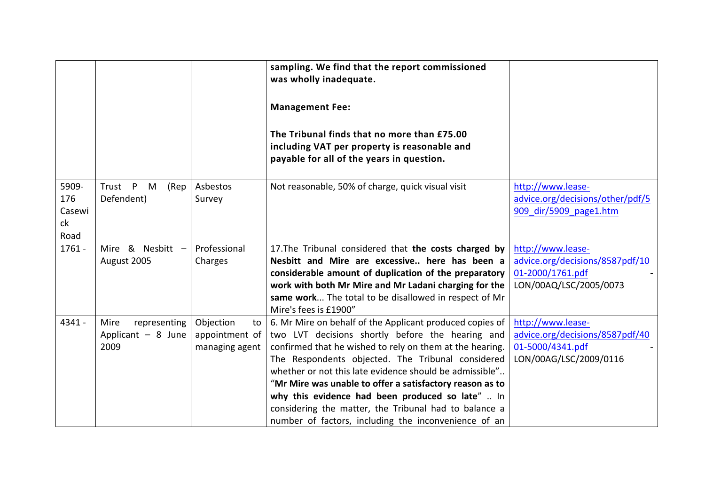|                                      |                                                    |                                                     | sampling. We find that the report commissioned<br>was wholly inadequate.<br><b>Management Fee:</b><br>The Tribunal finds that no more than £75.00<br>including VAT per property is reasonable and<br>payable for all of the years in question.                                                                                                                                                                                                                                                                            |                                                                                                    |
|--------------------------------------|----------------------------------------------------|-----------------------------------------------------|---------------------------------------------------------------------------------------------------------------------------------------------------------------------------------------------------------------------------------------------------------------------------------------------------------------------------------------------------------------------------------------------------------------------------------------------------------------------------------------------------------------------------|----------------------------------------------------------------------------------------------------|
| 5909-<br>176<br>Casewi<br>ck<br>Road | Trust<br>P<br>M<br>(Rep<br>Defendent)              | Asbestos<br>Survey                                  | Not reasonable, 50% of charge, quick visual visit                                                                                                                                                                                                                                                                                                                                                                                                                                                                         | http://www.lease-<br>advice.org/decisions/other/pdf/5<br>909 dir/5909 page1.htm                    |
| $1761 -$                             | Mire & Nesbitt -<br>August 2005                    | Professional<br>Charges                             | 17. The Tribunal considered that the costs charged by<br>Nesbitt and Mire are excessive here has been a<br>considerable amount of duplication of the preparatory<br>work with both Mr Mire and Mr Ladani charging for the<br>same work The total to be disallowed in respect of Mr<br>Mire's fees is £1900"                                                                                                                                                                                                               | http://www.lease-<br>advice.org/decisions/8587pdf/10<br>01-2000/1761.pdf<br>LON/00AQ/LSC/2005/0073 |
| 4341 -                               | Mire<br>representing<br>Applicant - 8 June<br>2009 | Objection<br>to<br>appointment of<br>managing agent | 6. Mr Mire on behalf of the Applicant produced copies of<br>two LVT decisions shortly before the hearing and<br>confirmed that he wished to rely on them at the hearing.<br>The Respondents objected. The Tribunal considered<br>whether or not this late evidence should be admissible"<br>"Mr Mire was unable to offer a satisfactory reason as to<br>why this evidence had been produced so late"  In<br>considering the matter, the Tribunal had to balance a<br>number of factors, including the inconvenience of an | http://www.lease-<br>advice.org/decisions/8587pdf/40<br>01-5000/4341.pdf<br>LON/00AG/LSC/2009/0116 |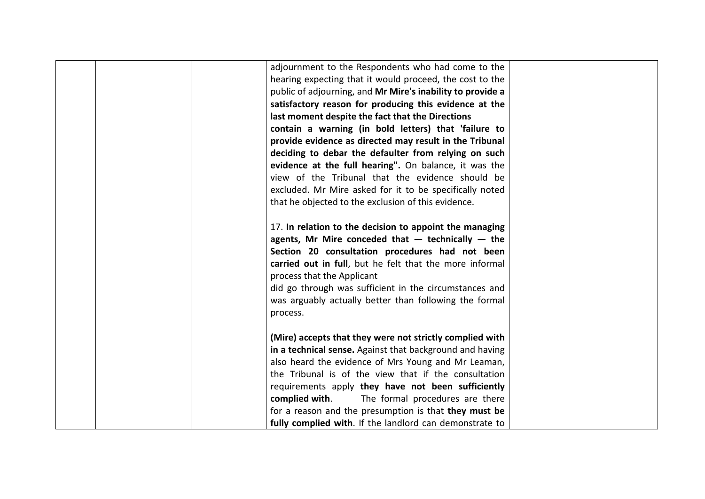|  | adjournment to the Respondents who had come to the         |  |
|--|------------------------------------------------------------|--|
|  | hearing expecting that it would proceed, the cost to the   |  |
|  | public of adjourning, and Mr Mire's inability to provide a |  |
|  | satisfactory reason for producing this evidence at the     |  |
|  | last moment despite the fact that the Directions           |  |
|  | contain a warning (in bold letters) that 'failure to       |  |
|  | provide evidence as directed may result in the Tribunal    |  |
|  | deciding to debar the defaulter from relying on such       |  |
|  | evidence at the full hearing". On balance, it was the      |  |
|  | view of the Tribunal that the evidence should be           |  |
|  | excluded. Mr Mire asked for it to be specifically noted    |  |
|  | that he objected to the exclusion of this evidence.        |  |
|  |                                                            |  |
|  | 17. In relation to the decision to appoint the managing    |  |
|  | agents, Mr Mire conceded that $-$ technically $-$ the      |  |
|  | Section 20 consultation procedures had not been            |  |
|  | carried out in full, but he felt that the more informal    |  |
|  | process that the Applicant                                 |  |
|  | did go through was sufficient in the circumstances and     |  |
|  | was arguably actually better than following the formal     |  |
|  | process.                                                   |  |
|  |                                                            |  |
|  | (Mire) accepts that they were not strictly complied with   |  |
|  | in a technical sense. Against that background and having   |  |
|  | also heard the evidence of Mrs Young and Mr Leaman,        |  |
|  | the Tribunal is of the view that if the consultation       |  |
|  | requirements apply they have not been sufficiently         |  |
|  | complied with.<br>The formal procedures are there          |  |
|  | for a reason and the presumption is that they must be      |  |
|  | fully complied with. If the landlord can demonstrate to    |  |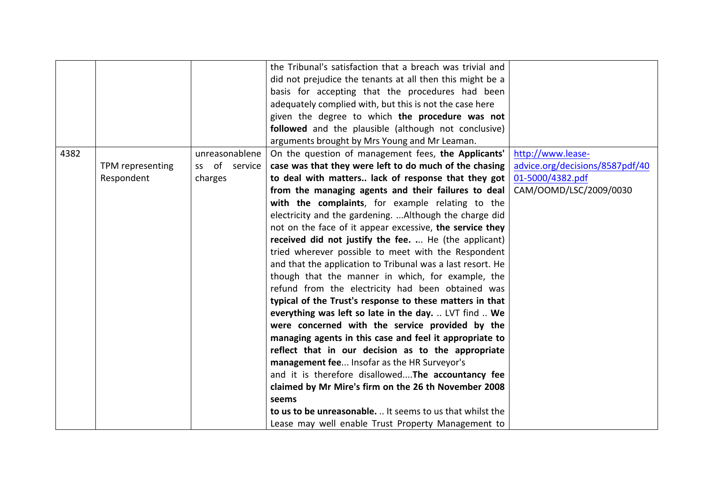|      |                  |                  | the Tribunal's satisfaction that a breach was trivial and  |                                 |
|------|------------------|------------------|------------------------------------------------------------|---------------------------------|
|      |                  |                  | did not prejudice the tenants at all then this might be a  |                                 |
|      |                  |                  | basis for accepting that the procedures had been           |                                 |
|      |                  |                  | adequately complied with, but this is not the case here    |                                 |
|      |                  |                  | given the degree to which the procedure was not            |                                 |
|      |                  |                  | followed and the plausible (although not conclusive)       |                                 |
|      |                  |                  | arguments brought by Mrs Young and Mr Leaman.              |                                 |
| 4382 |                  | unreasonablene   | On the question of management fees, the Applicants'        | http://www.lease-               |
|      | TPM representing | of service<br>SS | case was that they were left to do much of the chasing     | advice.org/decisions/8587pdf/40 |
|      | Respondent       | charges          | to deal with matters lack of response that they got        | 01-5000/4382.pdf                |
|      |                  |                  | from the managing agents and their failures to deal        | CAM/OOMD/LSC/2009/0030          |
|      |                  |                  | with the complaints, for example relating to the           |                                 |
|      |                  |                  | electricity and the gardening.  Although the charge did    |                                 |
|      |                  |                  | not on the face of it appear excessive, the service they   |                                 |
|      |                  |                  | received did not justify the fee.  He (the applicant)      |                                 |
|      |                  |                  | tried wherever possible to meet with the Respondent        |                                 |
|      |                  |                  | and that the application to Tribunal was a last resort. He |                                 |
|      |                  |                  | though that the manner in which, for example, the          |                                 |
|      |                  |                  | refund from the electricity had been obtained was          |                                 |
|      |                  |                  | typical of the Trust's response to these matters in that   |                                 |
|      |                  |                  | everything was left so late in the day.  LVT find  We      |                                 |
|      |                  |                  | were concerned with the service provided by the            |                                 |
|      |                  |                  | managing agents in this case and feel it appropriate to    |                                 |
|      |                  |                  | reflect that in our decision as to the appropriate         |                                 |
|      |                  |                  | management fee Insofar as the HR Surveyor's                |                                 |
|      |                  |                  | and it is therefore disallowed The accountancy fee         |                                 |
|      |                  |                  | claimed by Mr Mire's firm on the 26 th November 2008       |                                 |
|      |                  |                  | seems                                                      |                                 |
|      |                  |                  | to us to be unreasonable.  It seems to us that whilst the  |                                 |
|      |                  |                  | Lease may well enable Trust Property Management to         |                                 |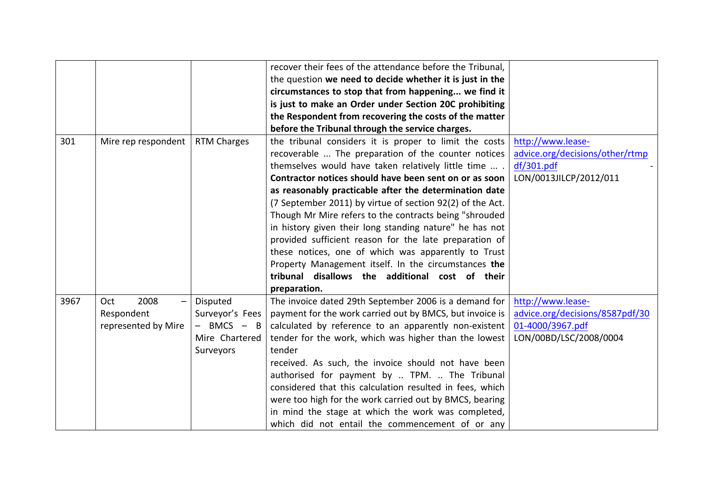|      |                     |                    | recover their fees of the attendance before the Tribunal, |                                 |
|------|---------------------|--------------------|-----------------------------------------------------------|---------------------------------|
|      |                     |                    | the question we need to decide whether it is just in the  |                                 |
|      |                     |                    | circumstances to stop that from happening we find it      |                                 |
|      |                     |                    | is just to make an Order under Section 20C prohibiting    |                                 |
|      |                     |                    | the Respondent from recovering the costs of the matter    |                                 |
|      |                     |                    | before the Tribunal through the service charges.          |                                 |
| 301  | Mire rep respondent | <b>RTM Charges</b> | the tribunal considers it is proper to limit the costs    | http://www.lease-               |
|      |                     |                    | recoverable  The preparation of the counter notices       | advice.org/decisions/other/rtmp |
|      |                     |                    | themselves would have taken relatively little time  .     | df/301.pdf                      |
|      |                     |                    | Contractor notices should have been sent on or as soon    | LON/0013JILCP/2012/011          |
|      |                     |                    | as reasonably practicable after the determination date    |                                 |
|      |                     |                    | (7 September 2011) by virtue of section 92(2) of the Act. |                                 |
|      |                     |                    | Though Mr Mire refers to the contracts being "shrouded    |                                 |
|      |                     |                    | in history given their long standing nature" he has not   |                                 |
|      |                     |                    | provided sufficient reason for the late preparation of    |                                 |
|      |                     |                    | these notices, one of which was apparently to Trust       |                                 |
|      |                     |                    | Property Management itself. In the circumstances the      |                                 |
|      |                     |                    | tribunal disallows the additional cost of their           |                                 |
|      |                     |                    | preparation.                                              |                                 |
| 3967 | 2008<br>Oct         | Disputed           | The invoice dated 29th September 2006 is a demand for     | http://www.lease-               |
|      | Respondent          | Surveyor's Fees    | payment for the work carried out by BMCS, but invoice is  | advice.org/decisions/8587pdf/30 |
|      | represented by Mire | $BMCS - B$         | calculated by reference to an apparently non-existent     | 01-4000/3967.pdf                |
|      |                     | Mire Chartered     | tender for the work, which was higher than the lowest     | LON/00BD/LSC/2008/0004          |
|      |                     | Surveyors          | tender                                                    |                                 |
|      |                     |                    | received. As such, the invoice should not have been       |                                 |
|      |                     |                    | authorised for payment by  TPM.  The Tribunal             |                                 |
|      |                     |                    | considered that this calculation resulted in fees, which  |                                 |
|      |                     |                    | were too high for the work carried out by BMCS, bearing   |                                 |
|      |                     |                    | in mind the stage at which the work was completed,        |                                 |
|      |                     |                    | which did not entail the commencement of or any           |                                 |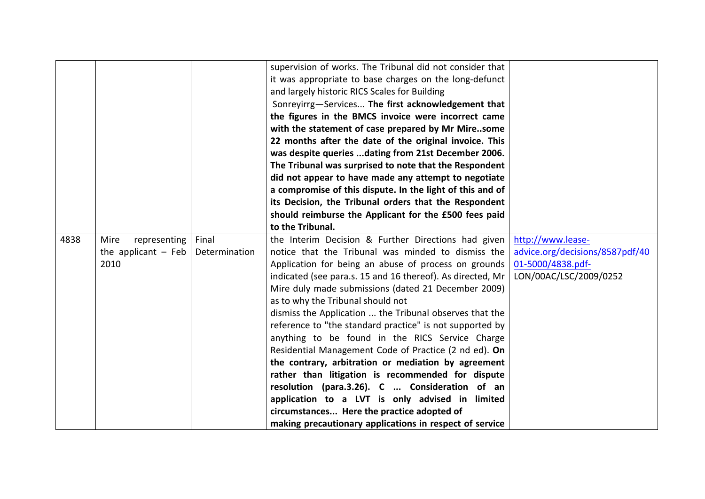|      |                       |               | supervision of works. The Tribunal did not consider that   |                                 |
|------|-----------------------|---------------|------------------------------------------------------------|---------------------------------|
|      |                       |               |                                                            |                                 |
|      |                       |               | it was appropriate to base charges on the long-defunct     |                                 |
|      |                       |               | and largely historic RICS Scales for Building              |                                 |
|      |                       |               | Sonreyirrg-Services The first acknowledgement that         |                                 |
|      |                       |               | the figures in the BMCS invoice were incorrect came        |                                 |
|      |                       |               | with the statement of case prepared by Mr Miresome         |                                 |
|      |                       |               | 22 months after the date of the original invoice. This     |                                 |
|      |                       |               | was despite queries dating from 21st December 2006.        |                                 |
|      |                       |               | The Tribunal was surprised to note that the Respondent     |                                 |
|      |                       |               | did not appear to have made any attempt to negotiate       |                                 |
|      |                       |               | a compromise of this dispute. In the light of this and of  |                                 |
|      |                       |               | its Decision, the Tribunal orders that the Respondent      |                                 |
|      |                       |               | should reimburse the Applicant for the £500 fees paid      |                                 |
|      |                       |               | to the Tribunal.                                           |                                 |
| 4838 | Mire<br>representing  | Final         | the Interim Decision & Further Directions had given        | http://www.lease-               |
|      | the applicant $-$ Feb | Determination | notice that the Tribunal was minded to dismiss the         | advice.org/decisions/8587pdf/40 |
|      | 2010                  |               | Application for being an abuse of process on grounds       | 01-5000/4838.pdf-               |
|      |                       |               | indicated (see para.s. 15 and 16 thereof). As directed, Mr | LON/00AC/LSC/2009/0252          |
|      |                       |               | Mire duly made submissions (dated 21 December 2009)        |                                 |
|      |                       |               | as to why the Tribunal should not                          |                                 |
|      |                       |               | dismiss the Application  the Tribunal observes that the    |                                 |
|      |                       |               |                                                            |                                 |
|      |                       |               | reference to "the standard practice" is not supported by   |                                 |
|      |                       |               | anything to be found in the RICS Service Charge            |                                 |
|      |                       |               | Residential Management Code of Practice (2 nd ed). On      |                                 |
|      |                       |               | the contrary, arbitration or mediation by agreement        |                                 |
|      |                       |               | rather than litigation is recommended for dispute          |                                 |
|      |                       |               | resolution (para.3.26). C  Consideration of an             |                                 |
|      |                       |               | application to a LVT is only advised in limited            |                                 |
|      |                       |               | circumstances Here the practice adopted of                 |                                 |
|      |                       |               | making precautionary applications in respect of service    |                                 |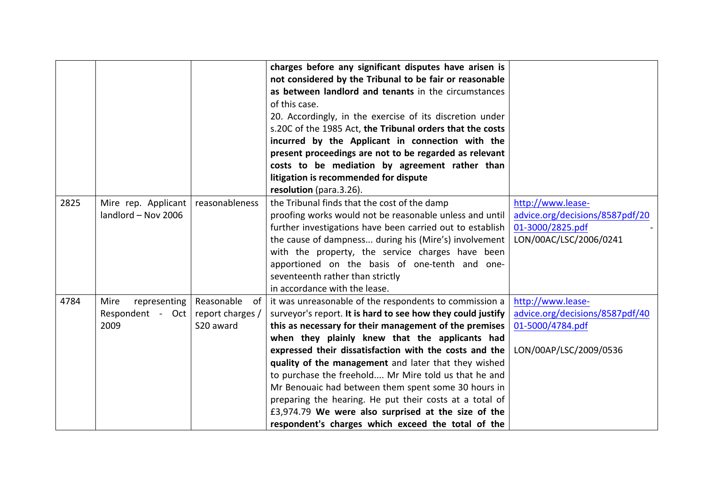|      |                      |                  | charges before any significant disputes have arisen is      |                                 |
|------|----------------------|------------------|-------------------------------------------------------------|---------------------------------|
|      |                      |                  | not considered by the Tribunal to be fair or reasonable     |                                 |
|      |                      |                  | as between landlord and tenants in the circumstances        |                                 |
|      |                      |                  | of this case.                                               |                                 |
|      |                      |                  | 20. Accordingly, in the exercise of its discretion under    |                                 |
|      |                      |                  | s.20C of the 1985 Act, the Tribunal orders that the costs   |                                 |
|      |                      |                  | incurred by the Applicant in connection with the            |                                 |
|      |                      |                  | present proceedings are not to be regarded as relevant      |                                 |
|      |                      |                  | costs to be mediation by agreement rather than              |                                 |
|      |                      |                  | litigation is recommended for dispute                       |                                 |
|      |                      |                  | resolution (para.3.26).                                     |                                 |
| 2825 | Mire rep. Applicant  | reasonableness   | the Tribunal finds that the cost of the damp                | http://www.lease-               |
|      | landlord - Nov 2006  |                  | proofing works would not be reasonable unless and until     | advice.org/decisions/8587pdf/20 |
|      |                      |                  | further investigations have been carried out to establish   | 01-3000/2825.pdf                |
|      |                      |                  | the cause of dampness during his (Mire's) involvement       | LON/00AC/LSC/2006/0241          |
|      |                      |                  | with the property, the service charges have been            |                                 |
|      |                      |                  | apportioned on the basis of one-tenth and one-              |                                 |
|      |                      |                  | seventeenth rather than strictly                            |                                 |
|      |                      |                  | in accordance with the lease.                               |                                 |
| 4784 | representing<br>Mire | Reasonable<br>of | it was unreasonable of the respondents to commission a      | http://www.lease-               |
|      | Respondent - Oct     | report charges / | surveyor's report. It is hard to see how they could justify | advice.org/decisions/8587pdf/40 |
|      | 2009                 | S20 award        | this as necessary for their management of the premises      | 01-5000/4784.pdf                |
|      |                      |                  | when they plainly knew that the applicants had              |                                 |
|      |                      |                  | expressed their dissatisfaction with the costs and the      | LON/00AP/LSC/2009/0536          |
|      |                      |                  | quality of the management and later that they wished        |                                 |
|      |                      |                  | to purchase the freehold Mr Mire told us that he and        |                                 |
|      |                      |                  | Mr Benouaic had between them spent some 30 hours in         |                                 |
|      |                      |                  | preparing the hearing. He put their costs at a total of     |                                 |
|      |                      |                  | £3,974.79 We were also surprised at the size of the         |                                 |
|      |                      |                  | respondent's charges which exceed the total of the          |                                 |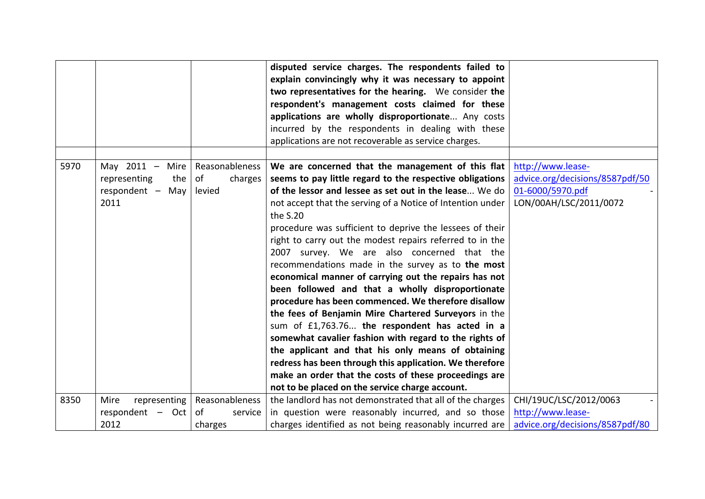|      |                                                                         |                                           | disputed service charges. The respondents failed to<br>explain convincingly why it was necessary to appoint<br>two representatives for the hearing. We consider the<br>respondent's management costs claimed for these<br>applications are wholly disproportionate Any costs<br>incurred by the respondents in dealing with these<br>applications are not recoverable as service charges.                                                                                                                                                                                                                                                                                                                                                                                                                                                                                                                                                                                                                                                            |                                                                                                    |
|------|-------------------------------------------------------------------------|-------------------------------------------|------------------------------------------------------------------------------------------------------------------------------------------------------------------------------------------------------------------------------------------------------------------------------------------------------------------------------------------------------------------------------------------------------------------------------------------------------------------------------------------------------------------------------------------------------------------------------------------------------------------------------------------------------------------------------------------------------------------------------------------------------------------------------------------------------------------------------------------------------------------------------------------------------------------------------------------------------------------------------------------------------------------------------------------------------|----------------------------------------------------------------------------------------------------|
| 5970 | May $2011 -$<br>Mire<br>the<br>representing<br>respondent - May<br>2011 | Reasonableness<br>of<br>charges<br>levied | We are concerned that the management of this flat<br>seems to pay little regard to the respective obligations<br>of the lessor and lessee as set out in the lease We do<br>not accept that the serving of a Notice of Intention under<br>the $S.20$<br>procedure was sufficient to deprive the lessees of their<br>right to carry out the modest repairs referred to in the<br>2007 survey. We are also concerned that the<br>recommendations made in the survey as to the most<br>economical manner of carrying out the repairs has not<br>been followed and that a wholly disproportionate<br>procedure has been commenced. We therefore disallow<br>the fees of Benjamin Mire Chartered Surveyors in the<br>sum of £1,763.76 the respondent has acted in a<br>somewhat cavalier fashion with regard to the rights of<br>the applicant and that his only means of obtaining<br>redress has been through this application. We therefore<br>make an order that the costs of these proceedings are<br>not to be placed on the service charge account. | http://www.lease-<br>advice.org/decisions/8587pdf/50<br>01-6000/5970.pdf<br>LON/00AH/LSC/2011/0072 |
| 8350 | Mire<br>representing                                                    | Reasonableness                            | the landlord has not demonstrated that all of the charges                                                                                                                                                                                                                                                                                                                                                                                                                                                                                                                                                                                                                                                                                                                                                                                                                                                                                                                                                                                            | CHI/19UC/LSC/2012/0063                                                                             |
|      | respondent - Oct<br>2012                                                | of<br>service<br>charges                  | in question were reasonably incurred, and so those<br>charges identified as not being reasonably incurred are                                                                                                                                                                                                                                                                                                                                                                                                                                                                                                                                                                                                                                                                                                                                                                                                                                                                                                                                        | http://www.lease-<br>advice.org/decisions/8587pdf/80                                               |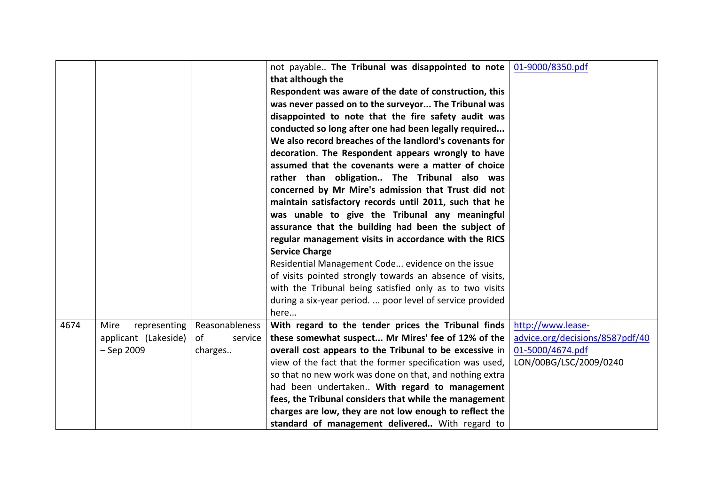|      |                      |                | not payable The Tribunal was disappointed to note<br>that although the | 01-9000/8350.pdf                |
|------|----------------------|----------------|------------------------------------------------------------------------|---------------------------------|
|      |                      |                | Respondent was aware of the date of construction, this                 |                                 |
|      |                      |                | was never passed on to the surveyor The Tribunal was                   |                                 |
|      |                      |                | disappointed to note that the fire safety audit was                    |                                 |
|      |                      |                |                                                                        |                                 |
|      |                      |                | conducted so long after one had been legally required                  |                                 |
|      |                      |                | We also record breaches of the landlord's covenants for                |                                 |
|      |                      |                | decoration. The Respondent appears wrongly to have                     |                                 |
|      |                      |                | assumed that the covenants were a matter of choice                     |                                 |
|      |                      |                | rather than obligation The Tribunal also was                           |                                 |
|      |                      |                | concerned by Mr Mire's admission that Trust did not                    |                                 |
|      |                      |                | maintain satisfactory records until 2011, such that he                 |                                 |
|      |                      |                | was unable to give the Tribunal any meaningful                         |                                 |
|      |                      |                | assurance that the building had been the subject of                    |                                 |
|      |                      |                | regular management visits in accordance with the RICS                  |                                 |
|      |                      |                | <b>Service Charge</b>                                                  |                                 |
|      |                      |                | Residential Management Code evidence on the issue                      |                                 |
|      |                      |                | of visits pointed strongly towards an absence of visits,               |                                 |
|      |                      |                | with the Tribunal being satisfied only as to two visits                |                                 |
|      |                      |                | during a six-year period.  poor level of service provided              |                                 |
|      |                      |                | here                                                                   |                                 |
| 4674 | representing<br>Mire | Reasonableness | With regard to the tender prices the Tribunal finds                    | http://www.lease-               |
|      | applicant (Lakeside) | of<br>service  | these somewhat suspect Mr Mires' fee of 12% of the                     | advice.org/decisions/8587pdf/40 |
|      | $-$ Sep 2009         | charges        | overall cost appears to the Tribunal to be excessive in                | 01-5000/4674.pdf                |
|      |                      |                | view of the fact that the former specification was used,               | LON/00BG/LSC/2009/0240          |
|      |                      |                | so that no new work was done on that, and nothing extra                |                                 |
|      |                      |                | had been undertaken With regard to management                          |                                 |
|      |                      |                | fees, the Tribunal considers that while the management                 |                                 |
|      |                      |                | charges are low, they are not low enough to reflect the                |                                 |
|      |                      |                | standard of management delivered With regard to                        |                                 |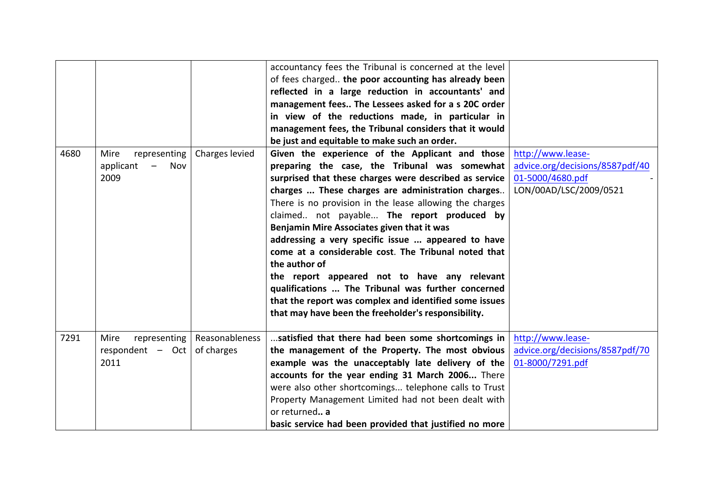|      |                                                                              |                | accountancy fees the Tribunal is concerned at the level<br>of fees charged the poor accounting has already been<br>reflected in a large reduction in accountants' and<br>management fees The Lessees asked for a s 20C order<br>in view of the reductions made, in particular in<br>management fees, the Tribunal considers that it would<br>be just and equitable to make such an order.                                                                                                                                                                                                                                                                                                                                    |                                                                                                    |
|------|------------------------------------------------------------------------------|----------------|------------------------------------------------------------------------------------------------------------------------------------------------------------------------------------------------------------------------------------------------------------------------------------------------------------------------------------------------------------------------------------------------------------------------------------------------------------------------------------------------------------------------------------------------------------------------------------------------------------------------------------------------------------------------------------------------------------------------------|----------------------------------------------------------------------------------------------------|
| 4680 | representing<br>Mire<br>applicant<br>$\overline{\phantom{0}}$<br>Nov<br>2009 | Charges levied | Given the experience of the Applicant and those<br>preparing the case, the Tribunal was somewhat<br>surprised that these charges were described as service<br>charges  These charges are administration charges<br>There is no provision in the lease allowing the charges<br>claimed not payable The report produced by<br>Benjamin Mire Associates given that it was<br>addressing a very specific issue  appeared to have<br>come at a considerable cost. The Tribunal noted that<br>the author of<br>the report appeared not to have any relevant<br>qualifications  The Tribunal was further concerned<br>that the report was complex and identified some issues<br>that may have been the freeholder's responsibility. | http://www.lease-<br>advice.org/decisions/8587pdf/40<br>01-5000/4680.pdf<br>LON/00AD/LSC/2009/0521 |
| 7291 | Mire<br>representing<br>respondent $-$ Oct of charges<br>2011                | Reasonableness | satisfied that there had been some shortcomings in<br>the management of the Property. The most obvious<br>example was the unacceptably late delivery of the<br>accounts for the year ending 31 March 2006 There<br>were also other shortcomings telephone calls to Trust<br>Property Management Limited had not been dealt with<br>or returned a<br>basic service had been provided that justified no more                                                                                                                                                                                                                                                                                                                   | http://www.lease-<br>advice.org/decisions/8587pdf/70<br>01-8000/7291.pdf                           |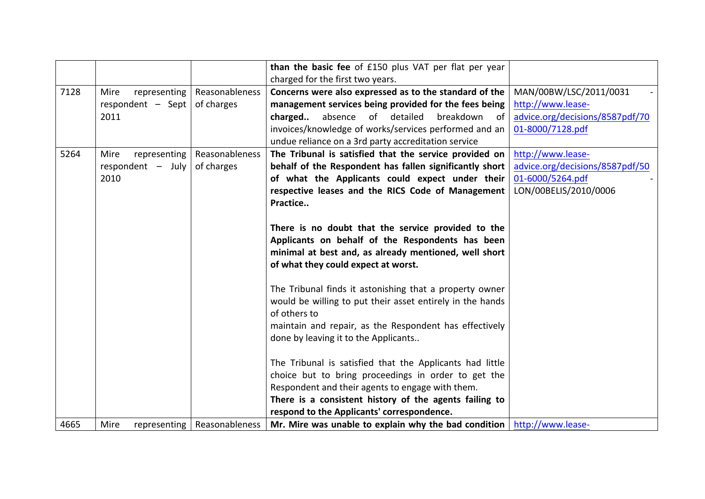|      |                      |                               | than the basic fee of £150 plus VAT per flat per year                                                            |                                 |
|------|----------------------|-------------------------------|------------------------------------------------------------------------------------------------------------------|---------------------------------|
|      |                      |                               | charged for the first two years.                                                                                 |                                 |
| 7128 | Mire<br>representing | Reasonableness                | Concerns were also expressed as to the standard of the                                                           | MAN/00BW/LSC/2011/0031          |
|      | respondent $-$ Sept  | of charges                    | management services being provided for the fees being                                                            | http://www.lease-               |
|      | 2011                 |                               | charged<br>absence<br>of detailed<br>breakdown<br>-of                                                            | advice.org/decisions/8587pdf/70 |
|      |                      |                               | invoices/knowledge of works/services performed and an                                                            | 01-8000/7128.pdf                |
|      |                      |                               | undue reliance on a 3rd party accreditation service                                                              |                                 |
| 5264 | representing<br>Mire | Reasonableness                | The Tribunal is satisfied that the service provided on                                                           | http://www.lease-               |
|      | respondent $-$ July  | of charges                    | behalf of the Respondent has fallen significantly short                                                          | advice.org/decisions/8587pdf/50 |
|      | 2010                 |                               | of what the Applicants could expect under their                                                                  | 01-6000/5264.pdf                |
|      |                      |                               | respective leases and the RICS Code of Management                                                                | LON/00BELIS/2010/0006           |
|      |                      |                               | Practice                                                                                                         |                                 |
|      |                      |                               |                                                                                                                  |                                 |
|      |                      |                               | There is no doubt that the service provided to the                                                               |                                 |
|      |                      |                               | Applicants on behalf of the Respondents has been                                                                 |                                 |
|      |                      |                               | minimal at best and, as already mentioned, well short                                                            |                                 |
|      |                      |                               | of what they could expect at worst.                                                                              |                                 |
|      |                      |                               |                                                                                                                  |                                 |
|      |                      |                               | The Tribunal finds it astonishing that a property owner                                                          |                                 |
|      |                      |                               | would be willing to put their asset entirely in the hands                                                        |                                 |
|      |                      |                               | of others to                                                                                                     |                                 |
|      |                      |                               | maintain and repair, as the Respondent has effectively                                                           |                                 |
|      |                      |                               | done by leaving it to the Applicants                                                                             |                                 |
|      |                      |                               |                                                                                                                  |                                 |
|      |                      |                               | The Tribunal is satisfied that the Applicants had little                                                         |                                 |
|      |                      |                               | choice but to bring proceedings in order to get the                                                              |                                 |
|      |                      |                               | Respondent and their agents to engage with them.                                                                 |                                 |
|      |                      |                               | There is a consistent history of the agents failing to                                                           |                                 |
|      |                      |                               | respond to the Applicants' correspondence.                                                                       |                                 |
| 4665 | Mire                 | representing   Reasonableness | Mr. Mire was unable to explain why the bad condition $\frac{\text{http://www.lease-}}{\text{http://www.lease-}}$ |                                 |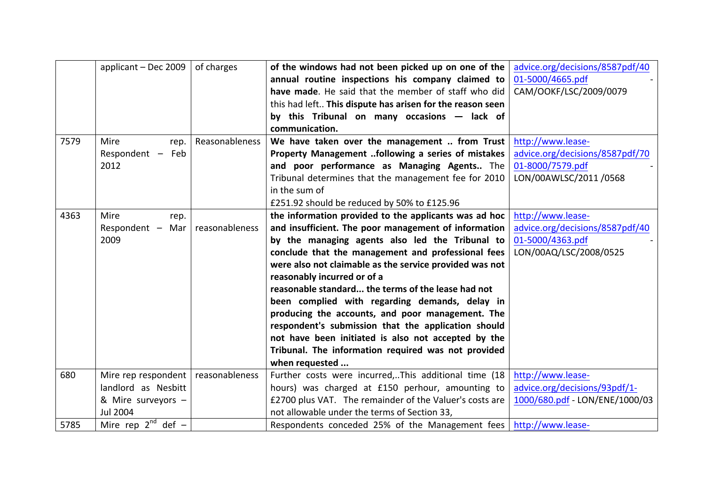|      | applicant - Dec 2009    | of charges     | of the windows had not been picked up on one of the                 | advice.org/decisions/8587pdf/40 |
|------|-------------------------|----------------|---------------------------------------------------------------------|---------------------------------|
|      |                         |                | annual routine inspections his company claimed to                   | 01-5000/4665.pdf                |
|      |                         |                | have made. He said that the member of staff who did                 | CAM/OOKF/LSC/2009/0079          |
|      |                         |                | this had left This dispute has arisen for the reason seen           |                                 |
|      |                         |                | by this Tribunal on many occasions - lack of                        |                                 |
|      |                         |                | communication.                                                      |                                 |
| 7579 | Mire<br>rep.            | Reasonableness | We have taken over the management  from Trust                       | http://www.lease-               |
|      | Respondent - Feb        |                | Property Management following a series of mistakes                  | advice.org/decisions/8587pdf/70 |
|      | 2012                    |                | and poor performance as Managing Agents The                         | 01-8000/7579.pdf                |
|      |                         |                | Tribunal determines that the management fee for 2010                | LON/00AWLSC/2011 /0568          |
|      |                         |                | in the sum of                                                       |                                 |
|      |                         |                | £251.92 should be reduced by 50% to £125.96                         |                                 |
| 4363 | Mire<br>rep.            |                | the information provided to the applicants was ad hoc               | http://www.lease-               |
|      | Respondent $-$ Mar      | reasonableness | and insufficient. The poor management of information                | advice.org/decisions/8587pdf/40 |
|      | 2009                    |                | by the managing agents also led the Tribunal to                     | 01-5000/4363.pdf                |
|      |                         |                | conclude that the management and professional fees                  | LON/00AQ/LSC/2008/0525          |
|      |                         |                | were also not claimable as the service provided was not             |                                 |
|      |                         |                | reasonably incurred or of a                                         |                                 |
|      |                         |                | reasonable standard the terms of the lease had not                  |                                 |
|      |                         |                | been complied with regarding demands, delay in                      |                                 |
|      |                         |                | producing the accounts, and poor management. The                    |                                 |
|      |                         |                | respondent's submission that the application should                 |                                 |
|      |                         |                | not have been initiated is also not accepted by the                 |                                 |
|      |                         |                | Tribunal. The information required was not provided                 |                                 |
|      |                         |                | when requested                                                      |                                 |
| 680  | Mire rep respondent     | reasonableness | Further costs were incurred,This additional time (18                | http://www.lease-               |
|      | landlord as Nesbitt     |                | hours) was charged at £150 perhour, amounting to                    | advice.org/decisions/93pdf/1-   |
|      | & Mire surveyors -      |                | £2700 plus VAT. The remainder of the Valuer's costs are             | 1000/680.pdf - LON/ENE/1000/03  |
|      | <b>Jul 2004</b>         |                | not allowable under the terms of Section 33,                        |                                 |
| 5785 | Mire rep $2^{nd}$ def - |                | Respondents conceded 25% of the Management fees   http://www.lease- |                                 |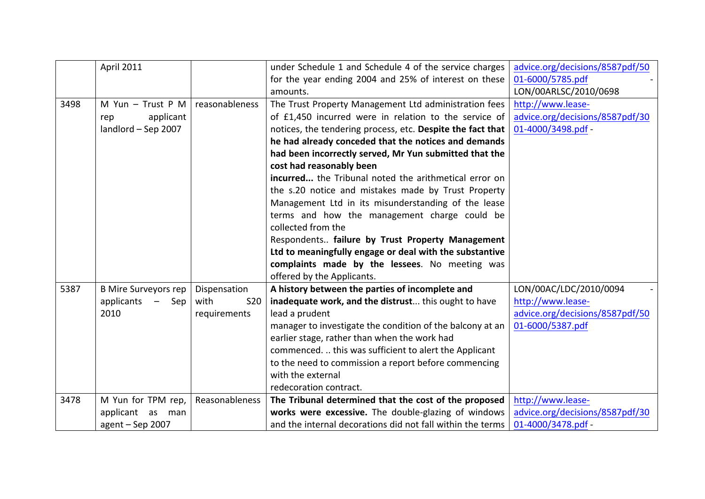|      | <b>April 2011</b>           |                    | under Schedule 1 and Schedule 4 of the service charges     | advice.org/decisions/8587pdf/50 |
|------|-----------------------------|--------------------|------------------------------------------------------------|---------------------------------|
|      |                             |                    | for the year ending 2004 and 25% of interest on these      | 01-6000/5785.pdf                |
|      |                             |                    | amounts.                                                   | LON/00ARLSC/2010/0698           |
| 3498 | M Yun - Trust P M           | reasonableness     | The Trust Property Management Ltd administration fees      | http://www.lease-               |
|      | applicant<br>rep            |                    | of £1,450 incurred were in relation to the service of      | advice.org/decisions/8587pdf/30 |
|      | landlord - Sep 2007         |                    | notices, the tendering process, etc. Despite the fact that | 01-4000/3498.pdf -              |
|      |                             |                    | he had already conceded that the notices and demands       |                                 |
|      |                             |                    | had been incorrectly served, Mr Yun submitted that the     |                                 |
|      |                             |                    | cost had reasonably been                                   |                                 |
|      |                             |                    | incurred the Tribunal noted the arithmetical error on      |                                 |
|      |                             |                    | the s.20 notice and mistakes made by Trust Property        |                                 |
|      |                             |                    | Management Ltd in its misunderstanding of the lease        |                                 |
|      |                             |                    | terms and how the management charge could be               |                                 |
|      |                             |                    | collected from the                                         |                                 |
|      |                             |                    | Respondents failure by Trust Property Management           |                                 |
|      |                             |                    | Ltd to meaningfully engage or deal with the substantive    |                                 |
|      |                             |                    | complaints made by the lessees. No meeting was             |                                 |
|      |                             |                    | offered by the Applicants.                                 |                                 |
| 5387 | <b>B Mire Surveyors rep</b> | Dispensation       | A history between the parties of incomplete and            | LON/00AC/LDC/2010/0094          |
|      | applicants<br>Sep           | with<br><b>S20</b> | inadequate work, and the distrust this ought to have       | http://www.lease-               |
|      | 2010                        | requirements       | lead a prudent                                             | advice.org/decisions/8587pdf/50 |
|      |                             |                    | manager to investigate the condition of the balcony at an  | 01-6000/5387.pdf                |
|      |                             |                    | earlier stage, rather than when the work had               |                                 |
|      |                             |                    | commenced.  this was sufficient to alert the Applicant     |                                 |
|      |                             |                    | to the need to commission a report before commencing       |                                 |
|      |                             |                    | with the external                                          |                                 |
|      |                             |                    | redecoration contract.                                     |                                 |
| 3478 | M Yun for TPM rep,          | Reasonableness     | The Tribunal determined that the cost of the proposed      | http://www.lease-               |
|      | applicant as man            |                    | works were excessive. The double-glazing of windows        | advice.org/decisions/8587pdf/30 |
|      | $agent - Sep 2007$          |                    | and the internal decorations did not fall within the terms | 01-4000/3478.pdf -              |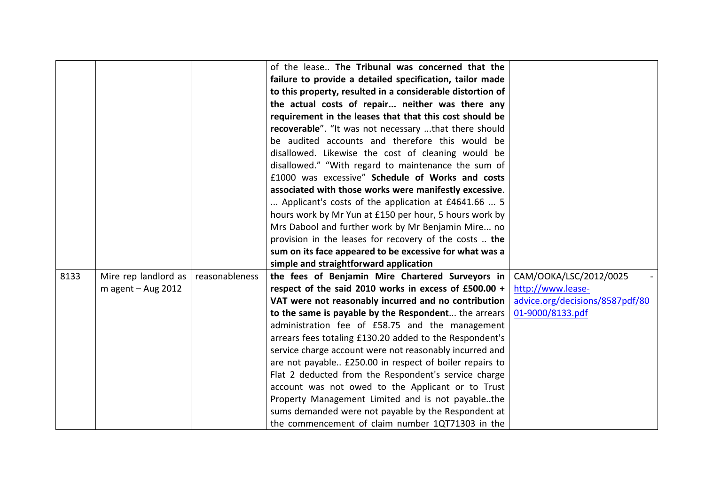|      |                      |                | of the lease The Tribunal was concerned that the           |                                 |
|------|----------------------|----------------|------------------------------------------------------------|---------------------------------|
|      |                      |                | failure to provide a detailed specification, tailor made   |                                 |
|      |                      |                | to this property, resulted in a considerable distortion of |                                 |
|      |                      |                | the actual costs of repair neither was there any           |                                 |
|      |                      |                | requirement in the leases that that this cost should be    |                                 |
|      |                      |                | recoverable". "It was not necessary that there should      |                                 |
|      |                      |                | be audited accounts and therefore this would be            |                                 |
|      |                      |                | disallowed. Likewise the cost of cleaning would be         |                                 |
|      |                      |                | disallowed." "With regard to maintenance the sum of        |                                 |
|      |                      |                | £1000 was excessive" Schedule of Works and costs           |                                 |
|      |                      |                | associated with those works were manifestly excessive.     |                                 |
|      |                      |                | Applicant's costs of the application at £4641.66  5        |                                 |
|      |                      |                | hours work by Mr Yun at £150 per hour, 5 hours work by     |                                 |
|      |                      |                | Mrs Dabool and further work by Mr Benjamin Mire no         |                                 |
|      |                      |                | provision in the leases for recovery of the costs  the     |                                 |
|      |                      |                | sum on its face appeared to be excessive for what was a    |                                 |
|      |                      |                | simple and straightforward application                     |                                 |
| 8133 | Mire rep landlord as | reasonableness | the fees of Benjamin Mire Chartered Surveyors in           | CAM/OOKA/LSC/2012/0025          |
|      | m agent $-$ Aug 2012 |                | respect of the said 2010 works in excess of £500.00 +      | http://www.lease-               |
|      |                      |                | VAT were not reasonably incurred and no contribution       | advice.org/decisions/8587pdf/80 |
|      |                      |                | to the same is payable by the Respondent the arrears       | 01-9000/8133.pdf                |
|      |                      |                | administration fee of £58.75 and the management            |                                 |
|      |                      |                | arrears fees totaling £130.20 added to the Respondent's    |                                 |
|      |                      |                | service charge account were not reasonably incurred and    |                                 |
|      |                      |                | are not payable £250.00 in respect of boiler repairs to    |                                 |
|      |                      |                | Flat 2 deducted from the Respondent's service charge       |                                 |
|      |                      |                | account was not owed to the Applicant or to Trust          |                                 |
|      |                      |                | Property Management Limited and is not payablethe          |                                 |
|      |                      |                | sums demanded were not payable by the Respondent at        |                                 |
|      |                      |                | the commencement of claim number 1QT71303 in the           |                                 |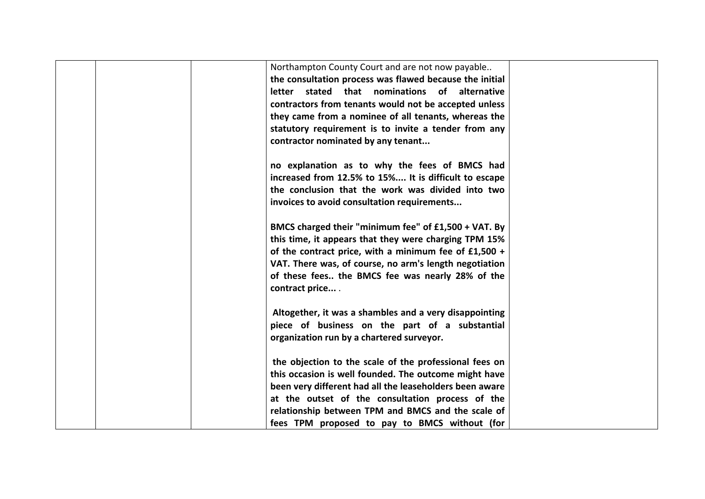| Northampton County Court and are not now payable<br>the consultation process was flawed because the initial<br>letter stated that nominations of alternative<br>contractors from tenants would not be accepted unless<br>they came from a nominee of all tenants, whereas the<br>statutory requirement is to invite a tender from any<br>contractor nominated by any tenant |  |
|-----------------------------------------------------------------------------------------------------------------------------------------------------------------------------------------------------------------------------------------------------------------------------------------------------------------------------------------------------------------------------|--|
| no explanation as to why the fees of BMCS had<br>increased from 12.5% to 15% It is difficult to escape<br>the conclusion that the work was divided into two<br>invoices to avoid consultation requirements                                                                                                                                                                  |  |
| BMCS charged their "minimum fee" of £1,500 + VAT. By<br>this time, it appears that they were charging TPM 15%<br>of the contract price, with a minimum fee of $£1,500 +$<br>VAT. There was, of course, no arm's length negotiation<br>of these fees the BMCS fee was nearly 28% of the<br>contract price                                                                    |  |
| Altogether, it was a shambles and a very disappointing<br>piece of business on the part of a substantial<br>organization run by a chartered surveyor.                                                                                                                                                                                                                       |  |
| the objection to the scale of the professional fees on<br>this occasion is well founded. The outcome might have<br>been very different had all the leaseholders been aware<br>at the outset of the consultation process of the<br>relationship between TPM and BMCS and the scale of<br>fees TPM proposed to pay to BMCS without (for                                       |  |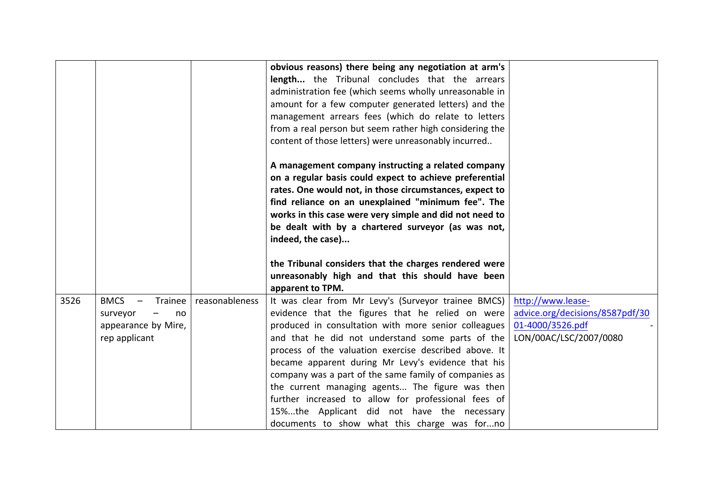|      |                                                                                  |                | obvious reasons) there being any negotiation at arm's<br><b>length</b> the Tribunal concludes that the arrears<br>administration fee (which seems wholly unreasonable in<br>amount for a few computer generated letters) and the<br>management arrears fees (which do relate to letters<br>from a real person but seem rather high considering the<br>content of those letters) were unreasonably incurred<br>A management company instructing a related company<br>on a regular basis could expect to achieve preferential<br>rates. One would not, in those circumstances, expect to<br>find reliance on an unexplained "minimum fee". The<br>works in this case were very simple and did not need to<br>be dealt with by a chartered surveyor (as was not,<br>indeed, the case) |                                                                                                    |
|------|----------------------------------------------------------------------------------|----------------|------------------------------------------------------------------------------------------------------------------------------------------------------------------------------------------------------------------------------------------------------------------------------------------------------------------------------------------------------------------------------------------------------------------------------------------------------------------------------------------------------------------------------------------------------------------------------------------------------------------------------------------------------------------------------------------------------------------------------------------------------------------------------------|----------------------------------------------------------------------------------------------------|
|      |                                                                                  |                | the Tribunal considers that the charges rendered were<br>unreasonably high and that this should have been<br>apparent to TPM.                                                                                                                                                                                                                                                                                                                                                                                                                                                                                                                                                                                                                                                      |                                                                                                    |
| 3526 | <b>BMCS</b><br>Trainee<br>surveyor<br>no<br>appearance by Mire,<br>rep applicant | reasonableness | It was clear from Mr Levy's (Surveyor trainee BMCS)<br>evidence that the figures that he relied on were<br>produced in consultation with more senior colleagues<br>and that he did not understand some parts of the<br>process of the valuation exercise described above. It<br>became apparent during Mr Levy's evidence that his<br>company was a part of the same family of companies as<br>the current managing agents The figure was then<br>further increased to allow for professional fees of<br>15%the Applicant did not have the necessary<br>documents to show what this charge was forno                                                                                                                                                                               | http://www.lease-<br>advice.org/decisions/8587pdf/30<br>01-4000/3526.pdf<br>LON/00AC/LSC/2007/0080 |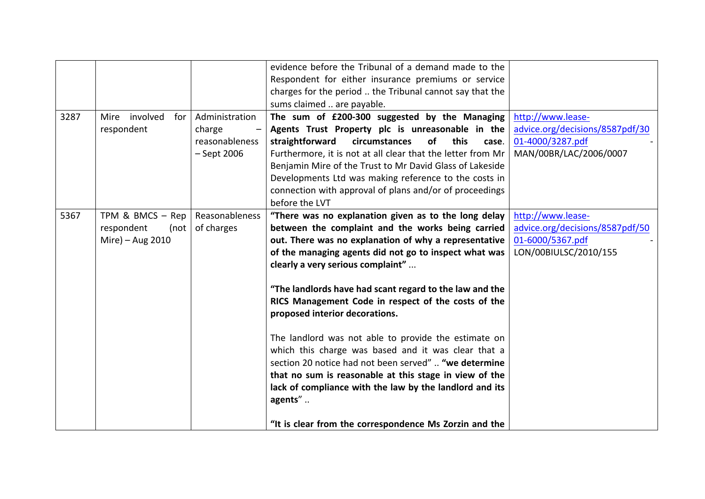|      |                                                            |                                                             | evidence before the Tribunal of a demand made to the<br>Respondent for either insurance premiums or service<br>charges for the period  the Tribunal cannot say that the<br>sums claimed  are payable.                                                                                                                                                                                                                                                                                                                                                                                                                                                                                                                                                                                  |                                                                                                    |
|------|------------------------------------------------------------|-------------------------------------------------------------|----------------------------------------------------------------------------------------------------------------------------------------------------------------------------------------------------------------------------------------------------------------------------------------------------------------------------------------------------------------------------------------------------------------------------------------------------------------------------------------------------------------------------------------------------------------------------------------------------------------------------------------------------------------------------------------------------------------------------------------------------------------------------------------|----------------------------------------------------------------------------------------------------|
| 3287 | Mire involved<br>for<br>respondent                         | Administration<br>charge<br>reasonableness<br>$-$ Sept 2006 | The sum of £200-300 suggested by the Managing<br>Agents Trust Property plc is unreasonable in the<br><b>of</b><br>this<br>straightforward<br>circumstances<br>case.<br>Furthermore, it is not at all clear that the letter from Mr<br>Benjamin Mire of the Trust to Mr David Glass of Lakeside<br>Developments Ltd was making reference to the costs in<br>connection with approval of plans and/or of proceedings<br>before the LVT                                                                                                                                                                                                                                                                                                                                                   | http://www.lease-<br>advice.org/decisions/8587pdf/30<br>01-4000/3287.pdf<br>MAN/00BR/LAC/2006/0007 |
| 5367 | TPM & BMCS - Rep<br>respondent<br>(not<br>Mire) - Aug 2010 | Reasonableness<br>of charges                                | "There was no explanation given as to the long delay<br>between the complaint and the works being carried<br>out. There was no explanation of why a representative<br>of the managing agents did not go to inspect what was<br>clearly a very serious complaint"<br>"The landlords have had scant regard to the law and the<br>RICS Management Code in respect of the costs of the<br>proposed interior decorations.<br>The landlord was not able to provide the estimate on<br>which this charge was based and it was clear that a<br>section 20 notice had not been served"  "we determine<br>that no sum is reasonable at this stage in view of the<br>lack of compliance with the law by the landlord and its<br>agents"<br>"It is clear from the correspondence Ms Zorzin and the | http://www.lease-<br>advice.org/decisions/8587pdf/50<br>01-6000/5367.pdf<br>LON/00BIULSC/2010/155  |